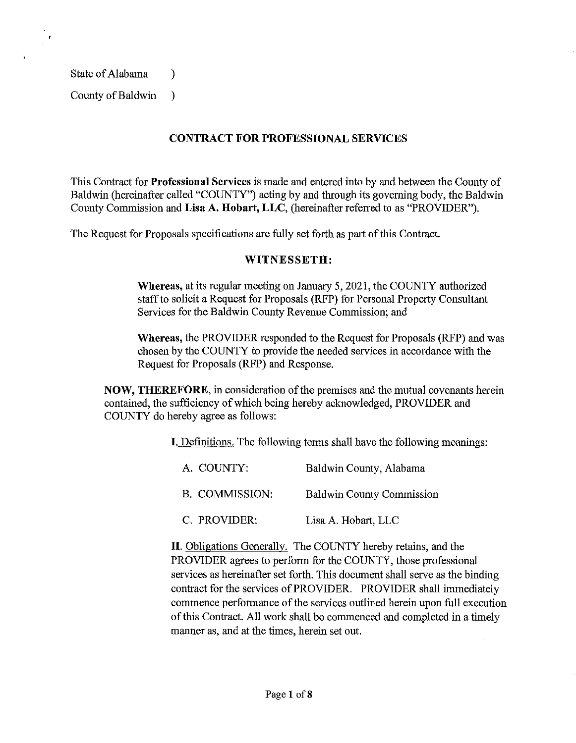State of Alabama (b)

County of Baldwin )

## **CONTRACT FOR PROFESSIONAL SERVICES**

This Contract for **Professional Services** is made and entered into by and between the County of Baldwin (hereinafter called "COUNTY") acting by and through its governing body, the Baldwin County Commission and **Lisa A. Hobart, LLC,** (hereinafter referred to as "PROVIDER").

The Request for Proposals specifications are fully set forth as part of this Contract.

#### **WITNESSETB:**

**Whereas,** at its regular meeting on January 5, 2021, the COUNTY authorized staff to solicit a Request for Proposals (RFP) for Personal Property Consultant Services for the Baldwin County Revenue Commission; and

**Whereas,** the PROVIDER responded to the Request for Proposals (RFP) and was chosen by the COUNTY to provide the needed services in accordance with the Request for Proposals (RFP) and Response.

**NOW, THEREFORE,** in consideration of the premises and the mutual covenants herein contained, the sufficiency of which being hereby acknowledged, PROVIDER and COUNTY do hereby agree as follows:

I. Definitions. The following terms shall have the following meanings:

| A. COUNTY:     | Baldwin County, Alabama          |
|----------------|----------------------------------|
| B. COMMISSION: | <b>Baldwin County Commission</b> |
| C. PROVIDER:   | Lisa A. Hobart, LLC              |

**II.** Obligations Generally. The COUNTY hereby retains, and the PROVIDER agrees to perform for the COUNTY, those professional services as hereinafter set forth. This document shall serve as the binding contract for the services of PROVIDER. PROVIDER shall immediately commence performance of the services outlined herein upon full execution of this Contract. All work shall be commenced and completed in a timely manner as, and at the times, herein set out.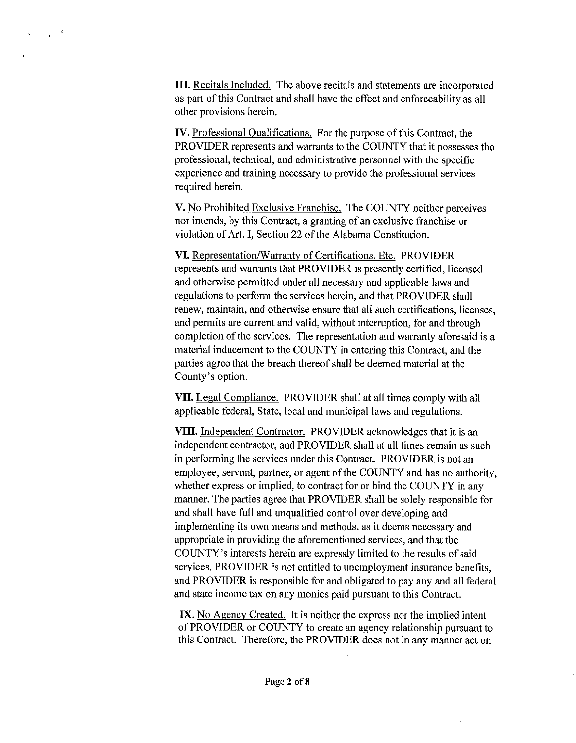III. Recitals Included. The above recitals and statements are incorporated as part of this Contract and shall have the effect and enforceability as all other provisions herein.

 $\frac{1}{2}$  .  $\frac{1}{2}$ 

IV. Professional Qualifications. For the purpose of this Contract, the PROVIDER represents and warrants to the COUNTY that it possesses the professional, technical, and administrative personnel with the specific experience and training necessary to provide the professional services required herein.

V. No Prohibited Exclusive Franchise. The COUNTY neither perceives nor intends, by this Contract, a granting of an exclusive franchise or violation of Art. I, Section 22 of the Alabama Constitution.

VI. Representation/Warranty of Certifications, Etc. PROVIDER represents and warrants that PROVIDER is presently certified, licensed and otherwise permitted under all necessary and applicable laws and regulations to perform the services herein, and that PROVIDER shall renew, maintain, and otherwise ensure that all such certifications, licenses, and permits are current and valid, without interruption, for and through completion of the services. The representation and warranty aforesaid is a material inducement to the COUNTY in entering this Contract, and the parties agree that the breach thereof shall be deemed material at the County's option.

VII. Legal Compliance. PROVIDER shall at all times comply with all applicable federal, State, local and municipal laws and regulations.

VIII. Independent Contractor. PROVIDER acknowledges that it is an independent contractor, and PROVIDER shall at all times remain as such in performing the services under this Contract. PROVIDER is not an employee, servant, partner, or agent of the COUNTY and has no authority, whether express or implied, to contract for or bind the COUNTY in any manner. The parties agree that PROVIDER shall be solely responsible for and shall have full and unqualified control over developing and implementing its own means and methods, as it deems necessary and appropriate in providing the aforementioned services, and that the COUNTY's interests herein are expressly limited to the results of said services. PROVIDER is not entitled to unemployment insurance benefits, and PROVIDER is responsible for and obligated to pay any and all federal and state income tax on any monies paid pursuant to this Contract.

IX. No Agency Created. It is neither the express nor the implied intent of PROVIDER or COUNTY to create an agency relationship pursuant to this Contract. Therefore, the PROVIDER does not in any manner act on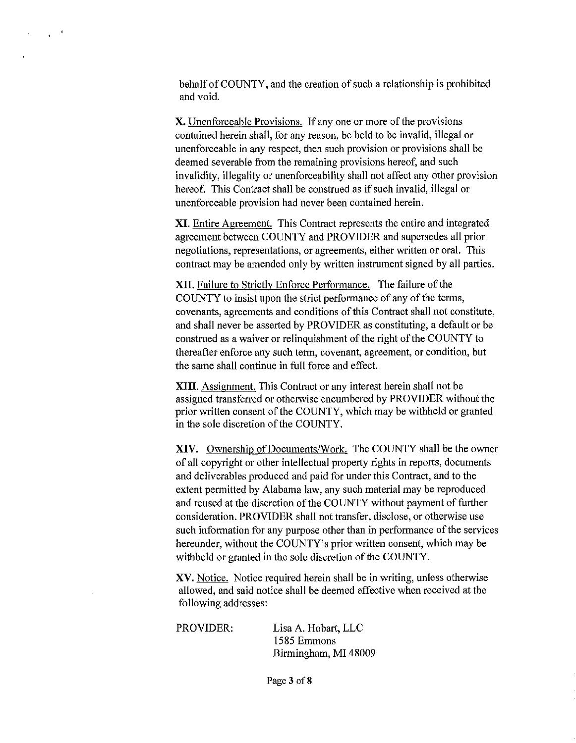behalf of COUNTY, and the creation of such a relationship is prohibited and void.

 $\chi^{(0)}$ 

X. Unenforceable Provisions. If any one or more of the provisions contained herein shall, for any reason, be held to be invalid, illegal or unenforceable in any respect, then such provision or provisions shall be deemed severable from the remaining provisions hereof, and such invalidity, illegality or unenforceability shall not affect any other provision hereof. This Contract shall be construed as if such invalid, illegal or unenforceable provision had never been contained herein.

**XI.** Entire Agreement. This Contract represents the entire and integrated agreement between COUNTY and PROVIDER and supersedes all prior negotiations, representations, or agreements, either written or oral. This contract may be amended only by written instrument signed by all parties.

**XII.** Failure to Strictly Enforce Performance. The failure of the COUNTY to insist upon the strict performance of any of the terms, covenants, agreements and conditions of this Contract shall not constitute, and shall never be asserted by PROVIDER as constituting, a default or be construed as a waiver or relinquishment of the right of the COUNTY to thereafter enforce any such term, covenant, agreement, or condition, but the same shall continue in full force and effect.

**XIII.** Assignment. This Contract or any interest herein shall not be assigned transferred or otherwise encumbered by PROVIDER without the prior written consent of the COUNTY, which may be withheld or granted in the sole discretion of the COUNTY.

**XIV.** Ownership of Documents/Work. The COUNTY shall be the owner of all copyright or other intellectual property rights in reports, documents and deliverables produced and paid for under this Contract, and to the extent permitted by Alabama law, any such material may be reproduced and reused at the discretion of the COUNTY without payment of further consideration. PROVIDER shall not transfer, disclose, or otherwise use such information for any purpose other than in performance of the services hereunder, without the COUNTY's prior written consent, which may be withheld or granted in the sole discretion of the COUNTY.

XV. Notice. Notice required herein shall be in writing, unless otherwise allowed, and said notice shall be deemed effective when received at the following addresses:

PROVIDER: Lisa A. Hobart, LLC 1585 Emmons Birmingham, MI 48009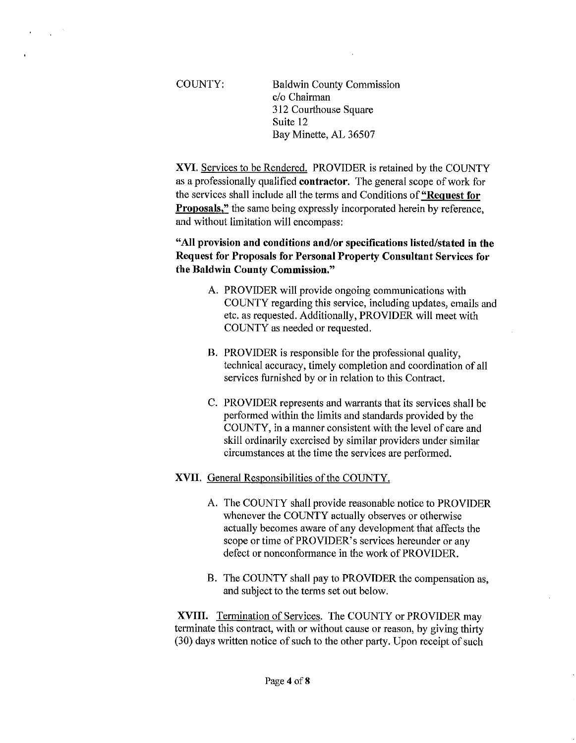$\Delta$ 

COUNTY: Baldwin County Commission c/o Chairman 312 Courthouse Square Suite 12 Bay Minette, AL 36507

XVI. Services to be Rendered. PROVIDER is retained by the COUNTY as a professionally qualified contractor. The general scope of work for the services shall include all the terms and Conditions of "Request for **Proposals,"** the same being expressly incorporated herein by reference, and without limitation will encompass:

"All provision and conditions and/or specifications listed/stated in the Request for Proposals for Personal Property Consultant Services for the Baldwin County Commission."

- A. PROVIDER will provide ongoing communications with COUNTY regarding this service, including updates, emails and etc. as requested. Additionally, PROVIDER will meet with COUNTY as needed or requested.
- B. PROVIDER is responsible for the professional quality, technical accuracy, timely completion and coordination of all services furnished by or in relation to this Contract.
- C. PROVIDER represents and warrants that its services shall be performed within the limits and standards provided by the COUNTY, in a manner consistent with the level of care and skill ordinarily exercised by similar providers under similar circumstances at the time the services are performed.

### XVII. General Responsibilities of the COUNTY.

- A. The COUNTY shall provide reasonable notice to PROVIDER whenever the COUNTY actually observes or otherwise actually becomes aware of any development that affects the scope or time of PROVIDER's services hereunder or any defect or nonconformance in the work of PROVIDER.
- B. The COUNTY shall pay to PROVIDER the compensation as, and subject to the terms set out below.

XVIII. Termination of Services. The COUNTY or PROVIDER may terminate this contract, with or without cause or reason, by giving thirty (30) days written notice of such to the other party. Upon receipt of such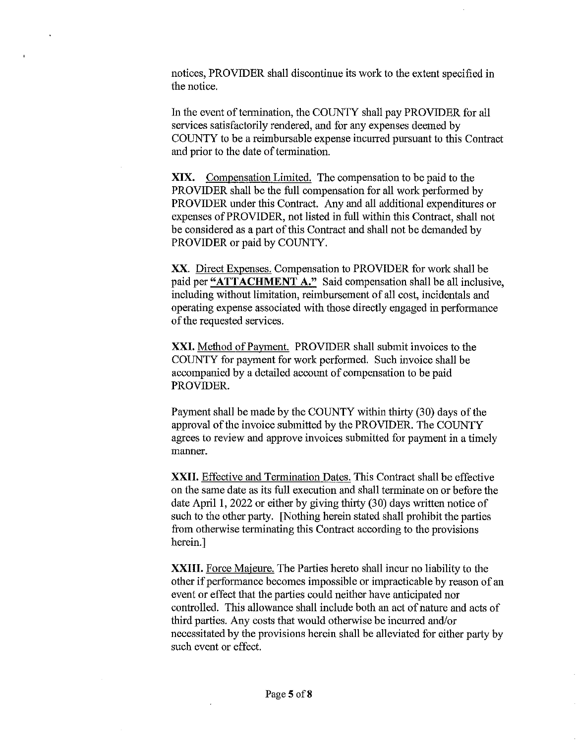notices, PROVIDER shall discontinue its work to the extent specified in the notice.

In the event of termination, the COUNTY shall pay PROVIDER for all services satisfactorily rendered, and for any expenses deemed by COUNTY to be a reimbursable expense incurred pursuant to this Contract and prior to the date of tennination.

**XIX.** Compensation Limited. The compensation to be paid to the PROVIDER shall be the full compensation for all work performed by PROVIDER under this Contract. Any and all additional expenditures or expenses of PROVIDER, not listed in full within this Contract, shall not be considered as a part of this Contract and shall not be demanded by PROVIDER or paid by COUNTY.

XX. Direct Expenses. Compensation to PROVIDER for work shall be paid per **"ATTACHMENT A."** Said compensation shall be all inclusive, including without limitation, reimbursement of all cost, incidentals and operating expense associated with those directly engaged in performance of the requested services.

**XXI.** Method of Payment. PROVIDER shall submit invoices to the COUNTY for payment for work performed. Such invoice shall be accompanied by a detailed account of compensation to be paid PROVIDER.

Payment shall be made by the COUNTY within thirty (30) days of the approval of the invoice submitted by the PROVIDER. The COUNTY agrees to review and approve invoices submitted for payment in a timely manner.

**XXII.** Effective and Termination Dates. This Contract shall be effective on the same date as its full execution and shall terminate on or before the date April I, 2022 or either by giving thirty (30) days written notice of such to the other party. [Nothing herein stated shall prohibit the parties from otherwise tenninating this Contract according to the provisions herein.]

**XXIII.** Force Majeure. The Parties hereto shall incur no liability to the other if perfonnance becomes impossible or impracticable by reason of an event or effect that the parties could neither have anticipated nor controlled. This allowance shall include both an act of nature and acts of third parties. Any costs that would otherwise be incurred and/or necessitated by the provisions herein shall be alleviated for either party by such event or effect.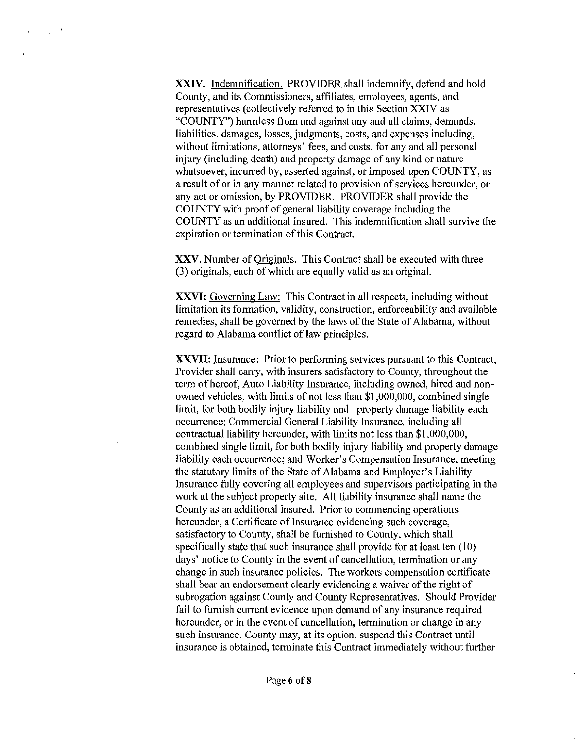**XXIV.** Indemnification. PROVIDER shall indemnify, defend and hold County, and its Commissioners, affiliates, employees, agents, and representatives (collectively referred to in this Section XXIV as "COUNTY") harmless from and against any and all claims, demands, liabilities, damages, losses, judgments, costs, and expenses including, without limitations, attorneys' fees, and costs, for any and all personal injury (including death) and property damage of any kind or nature whatsoever, incurred by, asserted against, or imposed upon COUNTY, as a result of or in any manner related to provision of services hereunder, or any act or omission, by PROVIDER. PROVIDER shall provide the COUNTY with proof of general liability coverage including the COUNTY as an additional insured. This indemnification shall survive the expiration or termination of this Contract.

**XXV.** Number of Originals. This Contract shall be executed with three (3) originals, each of which are equally valid as an original.

**XXVI:** Governing Law: This Contract in all respects, including without limitation its formation, validity, construction, enforceability and available remedies, shall be governed by the laws of the State of Alabama, without regard to Alabama conflict of law principles.

**XXVII:** Insurance: Prior to performing services pursuant to this Contract, Provider shall carry, with insurers satisfactory to County, throughout the term of hereof, Auto Liability Insurance, including owned, hired and nonowned vehicles, with limits of not less than \$1,000,000, combined single limit, for both bodily injury liability and property damage liability each occurrence; Commercial General Liability Insurance, including all contractual liability hereunder, with limits not less than \$1,000,000, combined single limit, for both bodily injury liability and property damage liability each occurrence; and Worker's Compensation Insurance, meeting the statutory limits of the State of Alabama and Employer's Liability Insurance fully covering all employees and supervisors participating in the work at the subject property site. All liability insurance shall name the County as an additional insured. Prior to commencing operations hereunder, a Certificate of Insurance evidencing such coverage, satisfactory to County, shall be furnished to County, which shall specifically state that such insurance shall provide for at least ten (10) days' notice to County in the event of cancellation, termination or any change in such insurance policies. The workers compensation certificate shall bear an endorsement clearly evidencing a waiver of the right of subrogation against County and County Representatives. Should Provider fail to furnish current evidence upon demand of any insurance required hereunder, or in the event of cancellation, termination or change in any such insurance, County may, at its option, suspend this Contract until insurance is obtained, terminate this Contract immediately without further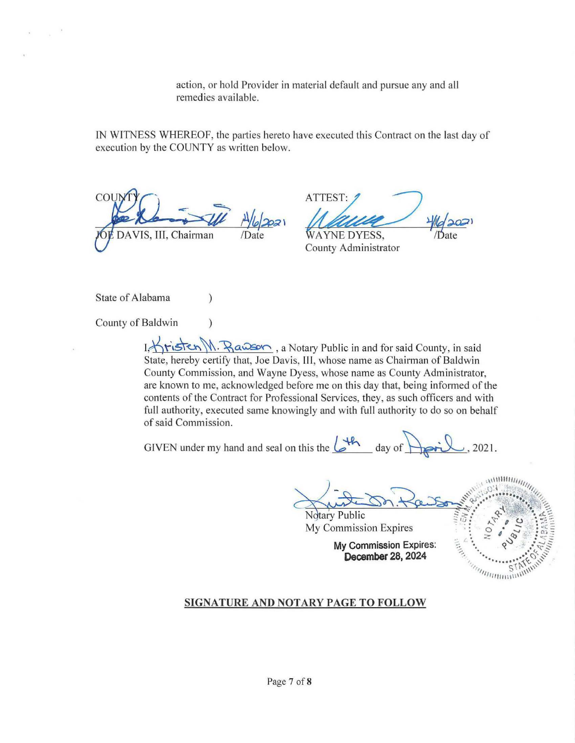action, or hold Provider in material default and pursue any and all remedies available.

IN WITNESS WHEREOF, the parties hereto have executed this Contract on the last day of execution by the COUNTY as written below.

 $CO$ VIS, III, Chairman

AT ATTEST: 1 Executed this Contract on the last day of<br>TEST: 2<br><u>Melace</u>  $\frac{4}{\sqrt{2}}$  Date

County Administrator

State of Alabama (1)

County of Baldwin (1)

I. <u>Kristen M. Rawson</u>, a Notary Public in and for said County, in said State, hereby certify that, Joe Davis, Ill, whose name as Chairman of Baldwin County Commission, and Wayne Dyess, whose name as County Administrator, are known to me, acknowledged before me on this day that, being informed of the contents of the Contract for Professional Services, they, as such officers and with full authority, executed same knowingly and with full authority to do so on behalf of said Commission.

GIVEN under my hand and seal on this the  $\sqrt{\frac{4h}{\omega}}$  day of  $\sqrt{\frac{2021}{\omega}}$ , 2021.

The method of the same of the same of the same of the same of the same of the same of the same of the same of the same of the same of the same of the same of the same of the same of the same of the same of the same of the

My Commission Expires

**My Commission Expires:** December 28, 2024



### **SIGNATURE AND NOTARY PAGE TO FOLLOW**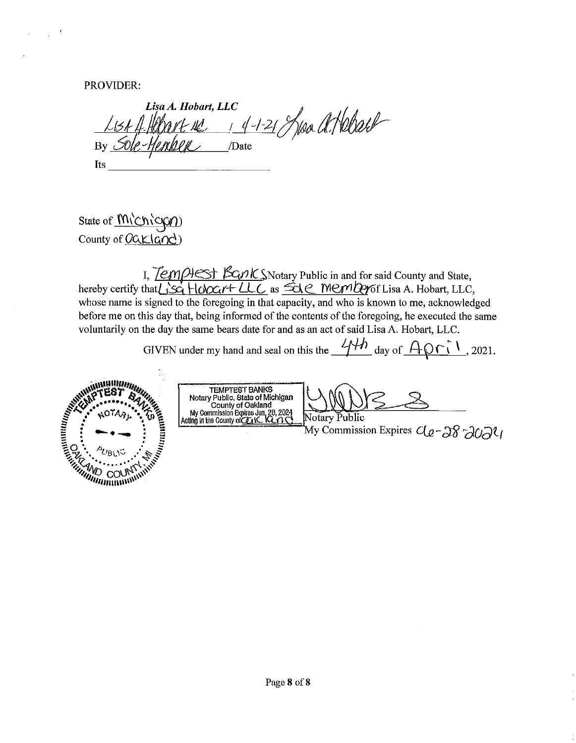PROVIDER:

Lisa A. Hobart, LLC 1 4-1-21 /100 al Hebrell By Sole-Hember /Date Its

State of  $M\&N\&QD$ County of  $0$ ak $|$ and)

I,  $\text{Term}$  $\text{Hest}$   $\text{K}$  $\Omega$  IX:  $\text{Notary}$  Public in and for said County and State, hereby certify that  $\frac{1}{2}$ . HoYx:  $\frac{1}{2}$  HoYx:  $\frac{1}{2}$  as  $\frac{1}{2}$   $\frac{1}{2}$   $\frac{1}{2}$   $\frac{1}{2}$   $\frac{1}{2}$   $\frac{1}{2}$   $\frac{1}{2}$   $\frac{1}{2}$   $\frac{1}{2}$   $\frac{1}{2}$   $\frac{1}{2}$   $\frac{1}{2}$   $\frac{1}{2}$   $\frac{1}{2}$   $\frac{1}{2}$   $\frac{1}{$ whose name is signed to the foregoing in that capacity, and who is known to me, acknowledged before me on this day that, being informed of the contents of the foregoing, he executed the same voluntarily on the day the same bears date for and as an act of said Lisa A. Hobart, LLC.

GIVEN under my hand and seal on this the  $\frac{4+h}{1}$  day of  $A \circ f'$ , 2021.



TEMPTEST BANKS<br>Notary Public, State of Michigan<br>County of Oakland<br>My Commission Expires Jun, 28, 2024<br>Acting in the County of CLACTIC

Notary Public

My Commission Expires  $C_{\ell}$  - 28 -2024